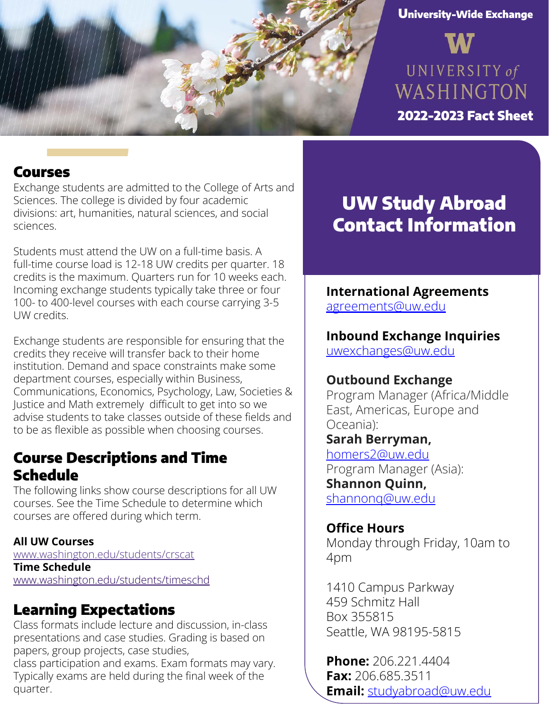

#### University-Wide Exchange

UNIVERSITY of WASHINGTON

2021-2022 Fact Sheet 2022-2023 Fact Sheet

### Courses

Exchange students are admitted to the College of Arts and Sciences. The college is divided by four academic divisions: art, humanities, natural sciences, and social sciences.

Students must attend the UW on a full-time basis. A full-time course load is 12-18 UW credits per quarter. 18 credits is the maximum. Quarters run for 10 weeks each. Incoming exchange students typically take three or four 100- to 400-level courses with each course carrying 3-5 UW credits.

Exchange students are responsible for ensuring that the credits they receive will transfer back to their home institution. Demand and space constraints make some department courses, especially within Business, Communications, Economics, Psychology, Law, Societies & Justice and Math extremely difficult to get into so we advise students to take classes outside of these fields and to be as flexible as possible when choosing courses.

## Course Descriptions and Time Schedule

The following links show course descriptions for all UW courses. See the Time Schedule to determine which courses are offered during which term.

#### **All UW Courses**

www.washington.edu/students/crscat **Time Schedule** [www.washington.edu/students/timeschd](http://www.washington.edu/students/timeschd)

# Learning Expectations

Class formats include lecture and discussion, in-class presentations and case studies. Grading is based on papers, group projects, case studies,

class participation and exams. Exam formats may vary. Typically exams are held during the final week of the quarter.

# UW Study Abroad Contact Information

### **International Agreements** agreemen[ts@uw.edu](mailto:agreements@uw.edu)

#### **Inbound Exchange Inquiries** [uwexchanges@uw.edu](mailto:uwexchanges@uw.edu)

# **Outbound Exchange**

Program Manager (Africa/Middle East, Americas, Europe and Oceania):

**Sarah Berryman,**  homers2@uw.edu Program Manager (Asia): **Shannon Quinn,**  [shannonq@uw.edu](mailto:shannonq@uw.edu)

**Office Hours** Monday through Friday, 10am to 4pm

1410 Campus Parkway 459 Schmitz Hall Box 355815 Seattle, WA 98195-5815

**Phone:** 206.221.4404 **Fax:** 206.685.3511 **Email:** [studyabroad@uw.edu](mailto:studyabroad@uw.edu)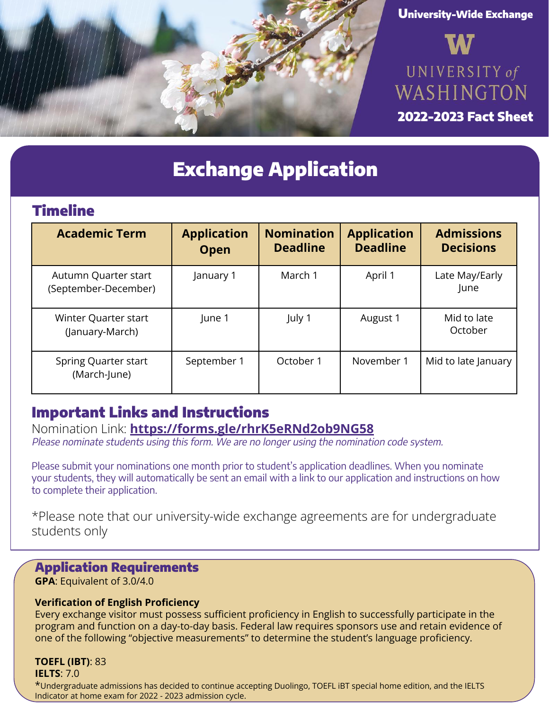





2021-2022 Fact Sheet 2022-2023 Fact Sheet

# Exchange Application

## Timeline

| <b>Academic Term</b>                         | <b>Application</b><br><b>Open</b> | <b>Nomination</b><br><b>Deadline</b> | <b>Application</b><br><b>Deadline</b> | <b>Admissions</b><br><b>Decisions</b> |
|----------------------------------------------|-----------------------------------|--------------------------------------|---------------------------------------|---------------------------------------|
| Autumn Quarter start<br>(September-December) | January 1                         | March 1                              | April 1                               | Late May/Early<br>June                |
| Winter Quarter start<br>(January-March)      | June 1                            | July 1                               | August 1                              | Mid to late<br>October                |
| Spring Quarter start<br>(March-June)         | September 1                       | October 1                            | November 1                            | Mid to late January                   |

## Important Links and Instructions

Nomination Link: **https://forms.gle/rhrK5eRNd2ob9NG58** Please nominate students using this form. We are no longer using the nomination code system.

Please submit your nominations one month prior to student's application deadlines. When you nominate your students, they will automatically be sent an email with a link to our application and instructions on how to complete their application.

\*Please note that our university-wide exchange agreements are for undergraduate students only

#### Application Requirements

**GPA**: Equivalent of 3.0/4.0

#### **Verification of English Proficiency**

Every exchange visitor must possess sufficient proficiency in English to successfully participate in the program and function on a day-to-day basis. Federal law requires sponsors use and retain evidence of one of the following "objective measurements" to determine the student's language proficiency.

# **TOEFL (IBT)**: 83

**IELTS**: 7.0

\*Undergraduate admissions has decided to continue accepting Duolingo, TOEFL iBT special home edition, and the IELTS Indicator at home exam for 2022 - 2023 admission cycle.